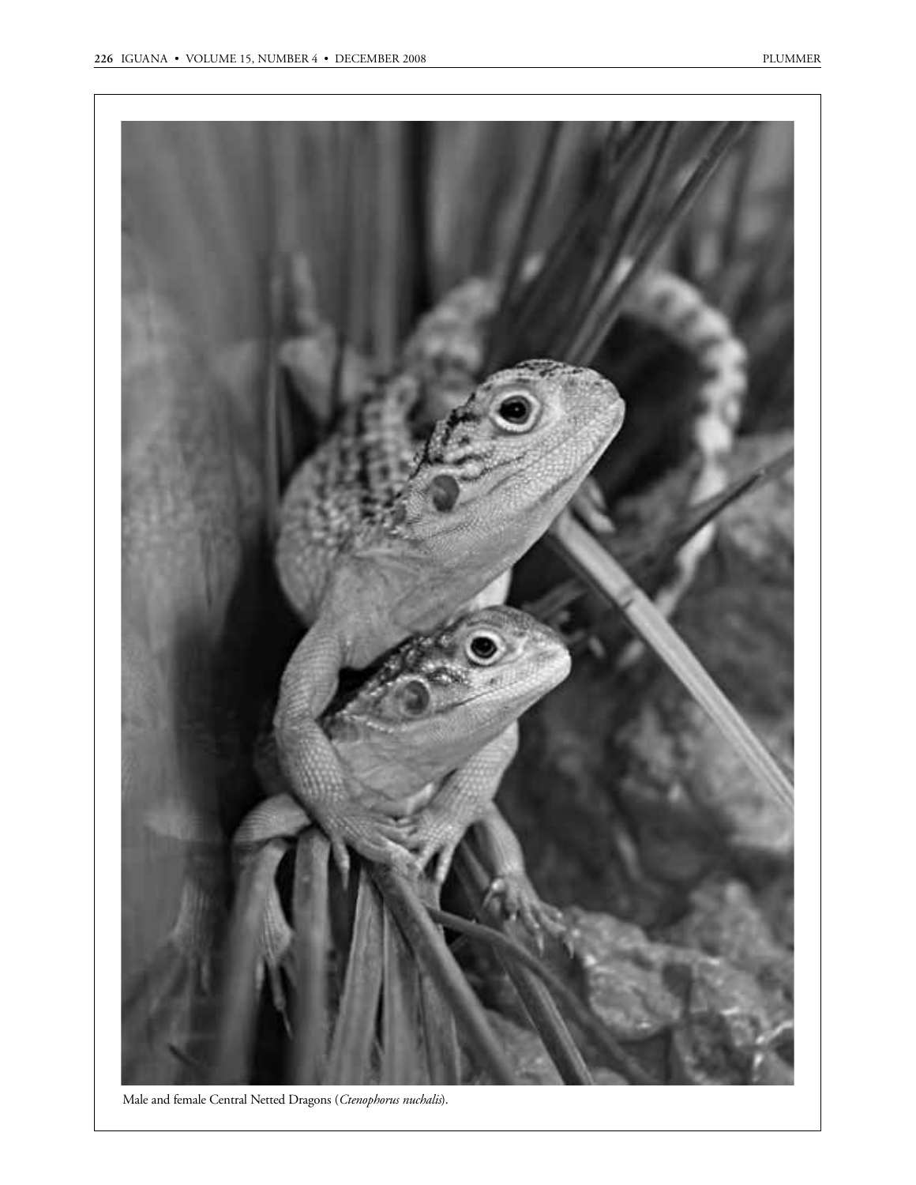

Male and female Central Netted Dragons (*Ctenophorus nuchalis*).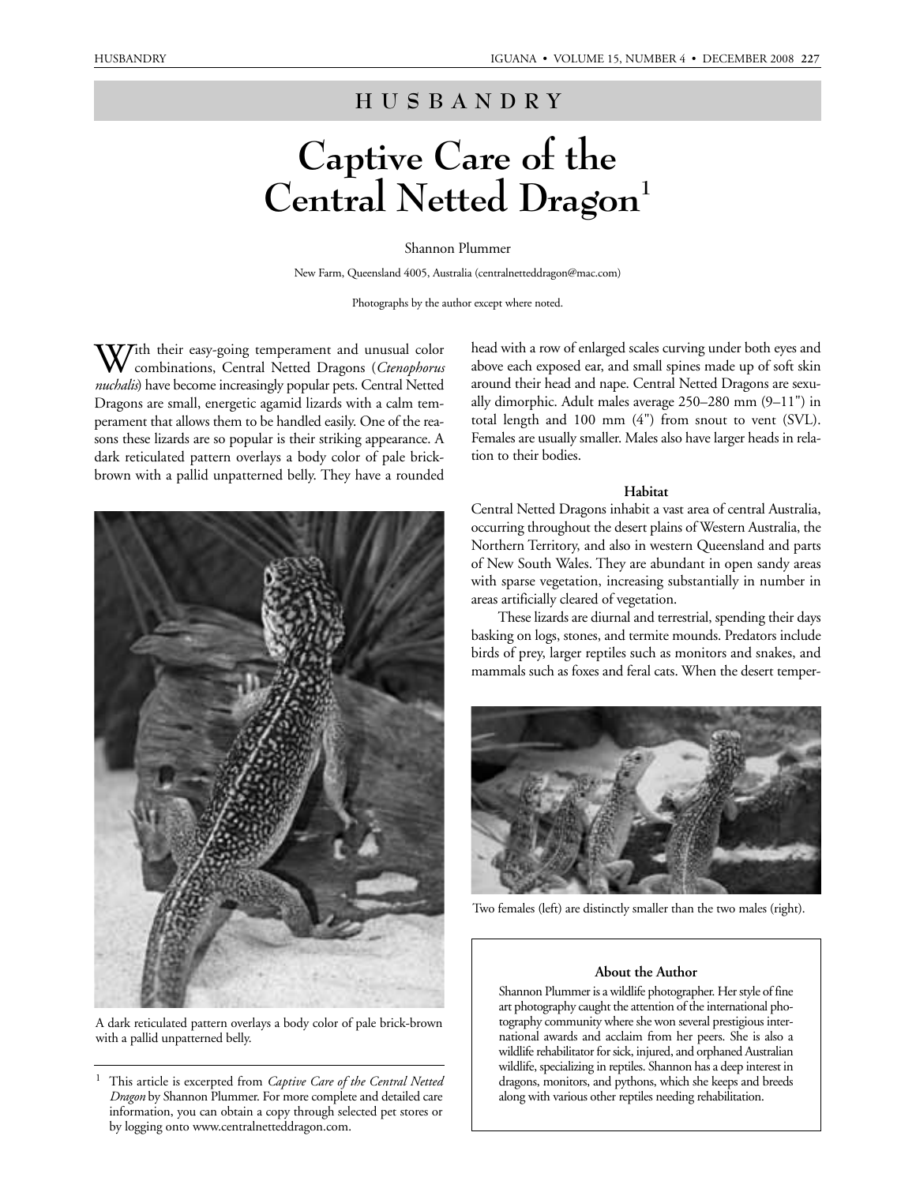# **HUSBANDRY**

# **Captive Care of the**  Central Netted Dragon<sup>1</sup>

### Shannon Plummer

New Farm, Queensland 4005, Australia (centralnetteddragon@mac.com)

Photographs by the author except where noted.

With their easy-going temperament and unusual color combinations, Central Netted Dragons (*Ctenophorus nuchalis*) have become increasingly popular pets. Central Netted Dragons are small, energetic agamid lizards with a calm temperament that allows them to be handled easily. One of the reasons these lizards are so popular is their striking appearance. A dark reticulated pattern overlays a body color of pale brickbrown with a pallid unpatterned belly. They have a rounded



A dark reticulated pattern overlays a body color of pale brick-brown with a pallid unpatterned belly.

head with a row of enlarged scales curving under both eyes and above each exposed ear, and small spines made up of soft skin around their head and nape. Central Netted Dragons are sexually dimorphic. Adult males average 250–280 mm (9–11") in total length and 100 mm (4") from snout to vent (SVL). Females are usually smaller. Males also have larger heads in relation to their bodies.

#### **Habitat**

Central Netted Dragons inhabit a vast area of central Australia, occurring throughout the desert plains of Western Australia, the Northern Territory, and also in western Queensland and parts of New South Wales. They are abundant in open sandy areas with sparse vegetation, increasing substantially in number in areas artificially cleared of vegetation.

These lizards are diurnal and terrestrial, spending their days basking on logs, stones, and termite mounds. Predators include birds of prey, larger reptiles such as monitors and snakes, and mammals such as foxes and feral cats. When the desert temper-



Two females (left) are distinctly smaller than the two males (right).

#### **About the Author**

Shannon Plummer is a wildlife photographer. Her style of fine art photography caught the attention of the international photography community where she won several prestigious international awards and acclaim from her peers. She is also a wildlife rehabilitator for sick, injured, and orphaned Australian wildlife, specializing in reptiles. Shannon has a deep interest in dragons, monitors, and pythons, which she keeps and breeds along with various other reptiles needing rehabilitation.

<sup>1</sup> This article is excerpted from *Captive Care of the Central Netted Dragon* by Shannon Plummer. For more complete and detailed care information, you can obtain a copy through selected pet stores or by logging onto www.centralnetteddragon.com.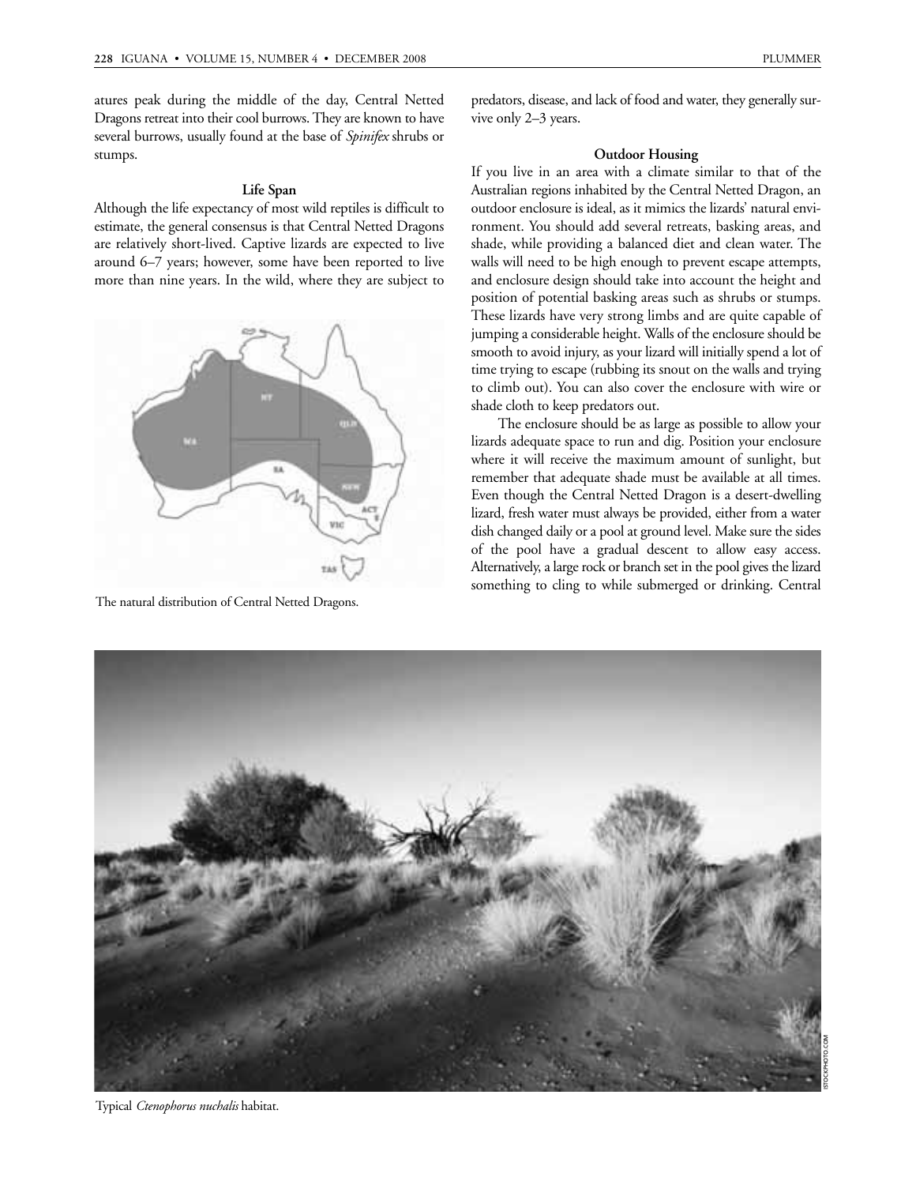atures peak during the middle of the day, Central Netted Dragons retreat into their cool burrows. They are known to have several burrows, usually found at the base of *Spinifex* shrubs or stumps.

# **Life Span**

Although the life expectancy of most wild reptiles is difficult to estimate, the general consensus is that Central Netted Dragons are relatively short-lived. Captive lizards are expected to live around 6–7 years; however, some have been reported to live more than nine years. In the wild, where they are subject to



The natural distribution of Central Netted Dragons.

#### **Outdoor Housing**

vive only 2–3 years.

If you live in an area with a climate similar to that of the Australian regions inhabited by the Central Netted Dragon, an outdoor enclosure is ideal, as it mimics the lizards' natural environment. You should add several retreats, basking areas, and shade, while providing a balanced diet and clean water. The walls will need to be high enough to prevent escape attempts, and enclosure design should take into account the height and position of potential basking areas such as shrubs or stumps. These lizards have very strong limbs and are quite capable of jumping a considerable height. Walls of the enclosure should be smooth to avoid injury, as your lizard will initially spend a lot of time trying to escape (rubbing its snout on the walls and trying to climb out). You can also cover the enclosure with wire or shade cloth to keep predators out.

The enclosure should be as large as possible to allow your lizards adequate space to run and dig. Position your enclosure where it will receive the maximum amount of sunlight, but remember that adequate shade must be available at all times. Even though the Central Netted Dragon is a desert-dwelling lizard, fresh water must always be provided, either from a water dish changed daily or a pool at ground level. Make sure the sides of the pool have a gradual descent to allow easy access. Alternatively, a large rock or branch set in the pool gives the lizard something to cling to while submerged or drinking. Central



Typical *Ctenophorus nuchalis* habitat.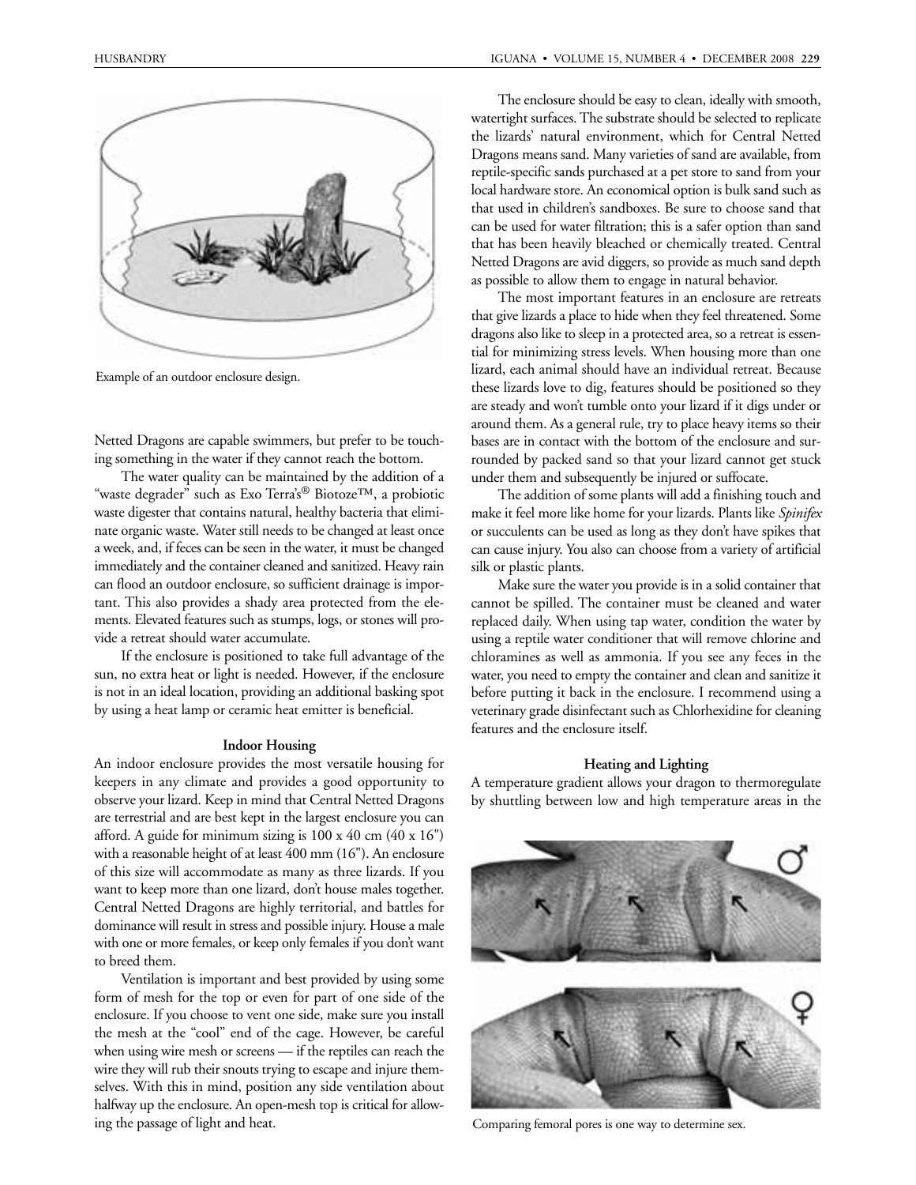

Example of an outdoor enclosure design.

Netted Dragons are capable swimmers, but prefer to be touching something in the water if they cannot reach the bottom.

The water quality can be maintained by the addition of a "waste degrader" such as Exo Terra's® Biotoze™, a probiotic waste digester that contains natural, healthy bacteria that eliminate organic waste. Water still needs to be changed at least once a week, and, if feces can be seen in the water, it must be changed immediately and the container cleaned and sanitized. Heavy rain can flood an outdoor enclosure, so sufficient drainage is important. This also provides a shady area protected from the elements. Elevated features such as stumps, logs, or stones will provide a retreat should water accumulate.

If the enclosure is positioned to take full advantage of the sun, no extra heat or light is needed. However, if the enclosure is not in an ideal location, providing an additional basking spot by using a heat lamp or ceramic heat emitter is beneficial.

# **Indoor Housing**

An indoor enclosure provides the most versatile housing for keepers in any climate and provides a good opportunity to observe your lizard. Keep in mind that Central Netted Dragons are terrestrial and are best kept in the largest enclosure you can afford. A guide for minimum sizing is 100 x 40 cm (40 x 16") with a reasonable height of at least 400 mm (16"). An enclosure of this size will accommodate as many as three lizards. If you want to keep more than one lizard, don't house males together. Central Netted Dragons are highly territorial, and battles for dominance will result in stress and possible injury. House a male with one or more females, or keep only females if you don't want to breed them.

Ventilation is important and best provided by using some form of mesh for the top or even for part of one side of the enclosure. If you choose to vent one side, make sure you install the mesh at the "cool" end of the cage. However, be careful when using wire mesh or screens — if the reptiles can reach the wire they will rub their snouts trying to escape and injure themselves. With this in mind, position any side ventilation about halfway up the enclosure. An open-mesh top is critical for allowing the passage of light and heat.

The enclosure should be easy to clean, ideally with smooth, watertight surfaces. The substrate should be selected to replicate the lizards' natural environment, which for Central Netted Dragons means sand. Many varieties of sand are available, from reptile-specific sands purchased at a pet store to sand from your local hardware store. An economical option is bulk sand such as that used in children's sandboxes. Be sure to choose sand that can be used for water filtration; this is a safer option than sand that has been heavily bleached or chemically treated. Central Netted Dragons are avid diggers, so provide as much sand depth as possible to allow them to engage in natural behavior.

The most important features in an enclosure are retreats that give lizards a place to hide when they feel threatened. Some dragons also like to sleep in a protected area, so a retreat is essential for minimizing stress levels. When housing more than one lizard, each animal should have an individual retreat. Because these lizards love to dig, features should be positioned so they are steady and won't tumble onto your lizard if it digs under or around them. As a general rule, try to place heavy items so their bases are in contact with the bottom of the enclosure and surrounded by packed sand so that your lizard cannot get stuck under them and subsequently be injured or suffocate.

The addition of some plants will add a finishing touch and make it feel more like home for your lizards. Plants like *Spinifex* or succulents can be used as long as they don't have spikes that can cause injury. You also can choose from a variety of artificial silk or plastic plants.

Make sure the water you provide is in a solid container that cannot be spilled. The container must be cleaned and water replaced daily. When using tap water, condition the water by using a reptile water conditioner that will remove chlorine and chloramines as well as ammonia. If you see any feces in the water, you need to empty the container and clean and sanitize it before putting it back in the enclosure. I recommend using a veterinary grade disinfectant such as Chlorhexidine for cleaning features and the enclosure itself.

# **Heating and Lighting**

A temperature gradient allows your dragon to thermoregulate by shuttling between low and high temperature areas in the



Comparing femoral pores is one way to determine sex.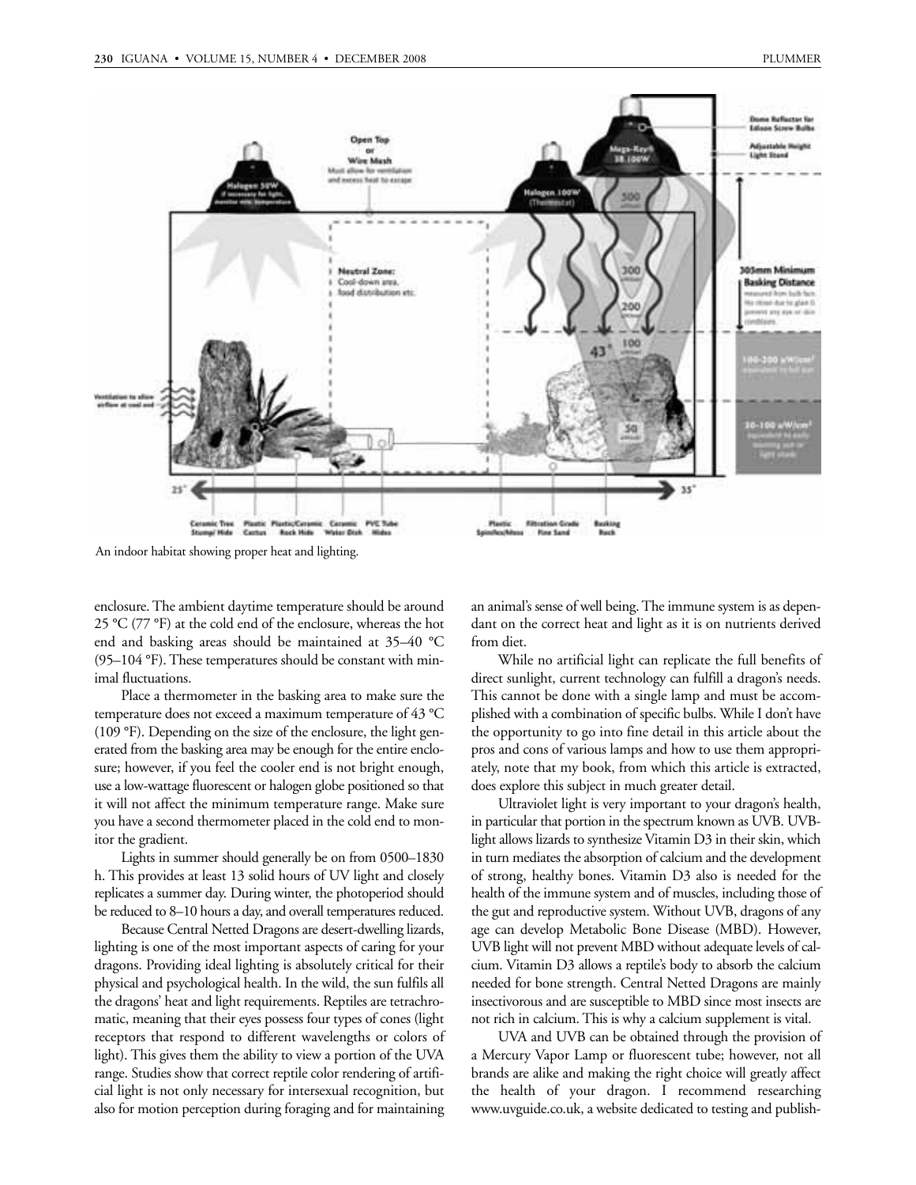

An indoor habitat showing proper heat and lighting.

enclosure. The ambient daytime temperature should be around 25 °C (77 °F) at the cold end of the enclosure, whereas the hot end and basking areas should be maintained at 35–40 °C (95–104 °F). These temperatures should be constant with minimal fluctuations.

Place a thermometer in the basking area to make sure the temperature does not exceed a maximum temperature of 43 °C (109 °F). Depending on the size of the enclosure, the light generated from the basking area may be enough for the entire enclosure; however, if you feel the cooler end is not bright enough, use a low-wattage fluorescent or halogen globe positioned so that it will not affect the minimum temperature range. Make sure you have a second thermometer placed in the cold end to monitor the gradient.

Lights in summer should generally be on from 0500–1830 h. This provides at least 13 solid hours of UV light and closely replicates a summer day. During winter, the photoperiod should be reduced to 8–10 hours a day, and overall temperatures reduced.

Because Central Netted Dragons are desert-dwelling lizards, lighting is one of the most important aspects of caring for your dragons. Providing ideal lighting is absolutely critical for their physical and psychological health. In the wild, the sun fulfils all the dragons' heat and light requirements. Reptiles are tetrachromatic, meaning that their eyes possess four types of cones (light receptors that respond to different wavelengths or colors of light). This gives them the ability to view a portion of the UVA range. Studies show that correct reptile color rendering of artificial light is not only necessary for intersexual recognition, but also for motion perception during foraging and for maintaining

an animal's sense of well being. The immune system is as dependant on the correct heat and light as it is on nutrients derived from diet.

While no artificial light can replicate the full benefits of direct sunlight, current technology can fulfill a dragon's needs. This cannot be done with a single lamp and must be accomplished with a combination of specific bulbs. While I don't have the opportunity to go into fine detail in this article about the pros and cons of various lamps and how to use them appropriately, note that my book, from which this article is extracted, does explore this subject in much greater detail.

Ultraviolet light is very important to your dragon's health, in particular that portion in the spectrum known as UVB. UVBlight allows lizards to synthesize Vitamin D3 in their skin, which in turn mediates the absorption of calcium and the development of strong, healthy bones. Vitamin D3 also is needed for the health of the immune system and of muscles, including those of the gut and reproductive system. Without UVB, dragons of any age can develop Metabolic Bone Disease (MBD). However, UVB light will not prevent MBD without adequate levels of calcium. Vitamin D3 allows a reptile's body to absorb the calcium needed for bone strength. Central Netted Dragons are mainly insectivorous and are susceptible to MBD since most insects are not rich in calcium. This is why a calcium supplement is vital.

UVA and UVB can be obtained through the provision of a Mercury Vapor Lamp or fluorescent tube; however, not all brands are alike and making the right choice will greatly affect the health of your dragon. I recommend researching www.uvguide.co.uk, a website dedicated to testing and publish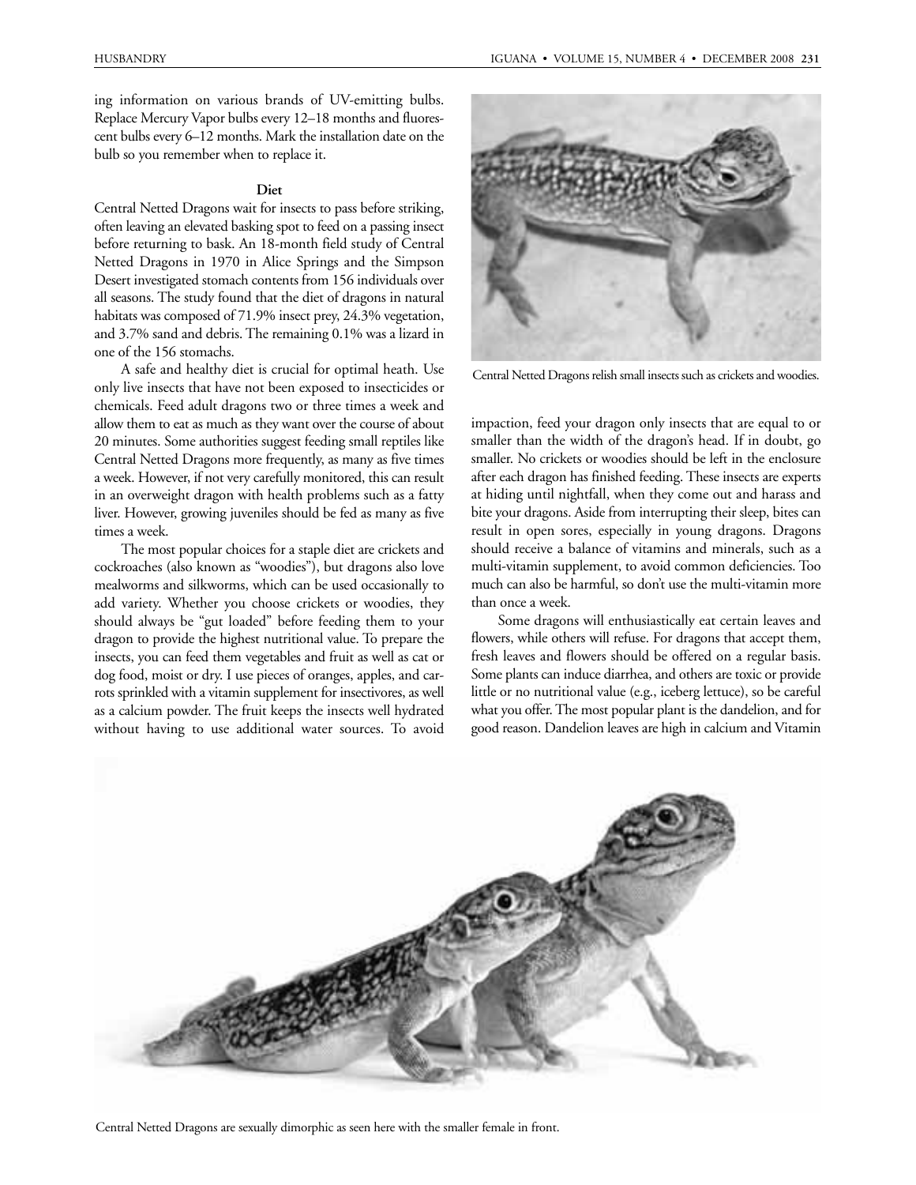ing information on various brands of UV-emitting bulbs. Replace Mercury Vapor bulbs every 12–18 months and fluorescent bulbs every 6–12 months. Mark the installation date on the bulb so you remember when to replace it.

#### **Diet**

Central Netted Dragons wait for insects to pass before striking, often leaving an elevated basking spot to feed on a passing insect before returning to bask. An 18-month field study of Central Netted Dragons in 1970 in Alice Springs and the Simpson Desert investigated stomach contents from 156 individuals over all seasons. The study found that the diet of dragons in natural habitats was composed of 71.9% insect prey, 24.3% vegetation, and 3.7% sand and debris. The remaining 0.1% was a lizard in one of the 156 stomachs.

A safe and healthy diet is crucial for optimal heath. Use only live insects that have not been exposed to insecticides or chemicals. Feed adult dragons two or three times a week and allow them to eat as much as they want over the course of about 20 minutes. Some authorities suggest feeding small reptiles like Central Netted Dragons more frequently, as many as five times a week. However, if not very carefully monitored, this can result in an overweight dragon with health problems such as a fatty liver. However, growing juveniles should be fed as many as five times a week.

The most popular choices for a staple diet are crickets and cockroaches (also known as "woodies"), but dragons also love mealworms and silkworms, which can be used occasionally to add variety. Whether you choose crickets or woodies, they should always be "gut loaded" before feeding them to your dragon to provide the highest nutritional value. To prepare the insects, you can feed them vegetables and fruit as well as cat or dog food, moist or dry. I use pieces of oranges, apples, and carrots sprinkled with a vitamin supplement for insectivores, as well as a calcium powder. The fruit keeps the insects well hydrated without having to use additional water sources. To avoid



Central Netted Dragons relish small insects such as crickets and woodies.

impaction, feed your dragon only insects that are equal to or smaller than the width of the dragon's head. If in doubt, go smaller. No crickets or woodies should be left in the enclosure after each dragon has finished feeding. These insects are experts at hiding until nightfall, when they come out and harass and bite your dragons. Aside from interrupting their sleep, bites can result in open sores, especially in young dragons. Dragons should receive a balance of vitamins and minerals, such as a multi-vitamin supplement, to avoid common deficiencies. Too much can also be harmful, so don't use the multi-vitamin more than once a week.

Some dragons will enthusiastically eat certain leaves and flowers, while others will refuse. For dragons that accept them, fresh leaves and flowers should be offered on a regular basis. Some plants can induce diarrhea, and others are toxic or provide little or no nutritional value (e.g., iceberg lettuce), so be careful what you offer. The most popular plant is the dandelion, and for good reason. Dandelion leaves are high in calcium and Vitamin



Central Netted Dragons are sexually dimorphic as seen here with the smaller female in front.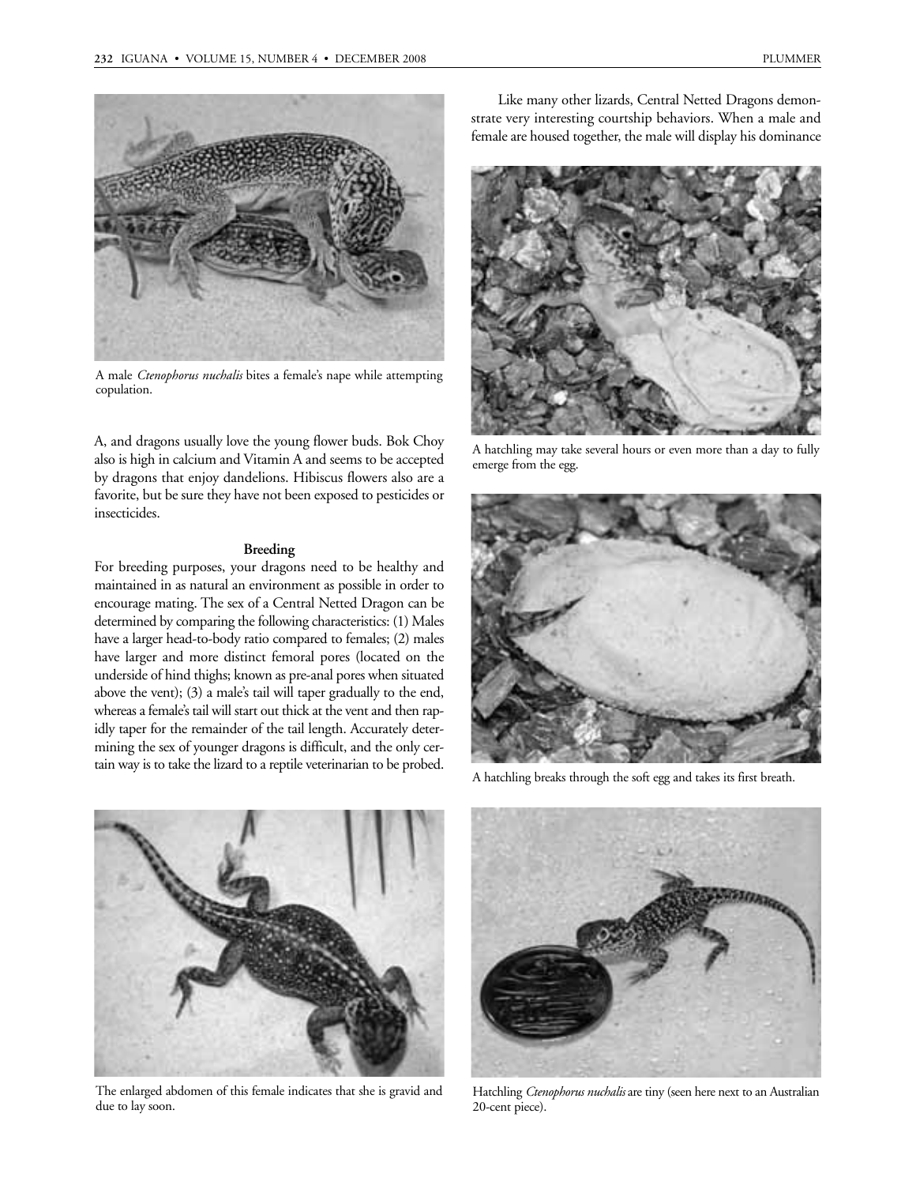

A male *Ctenophorus nuchalis* bites a female's nape while attempting copulation.

A, and dragons usually love the young flower buds. Bok Choy also is high in calcium and Vitamin A and seems to be accepted by dragons that enjoy dandelions. Hibiscus flowers also are a favorite, but be sure they have not been exposed to pesticides or insecticides.

# **Breeding**

For breeding purposes, your dragons need to be healthy and maintained in as natural an environment as possible in order to encourage mating. The sex of a Central Netted Dragon can be determined by comparing the following characteristics: (1) Males have a larger head-to-body ratio compared to females; (2) males have larger and more distinct femoral pores (located on the underside of hind thighs; known as pre-anal pores when situated above the vent); (3) a male's tail will taper gradually to the end, whereas a female's tail will start out thick at the vent and then rapidly taper for the remainder of the tail length. Accurately determining the sex of younger dragons is difficult, and the only certain way is to take the lizard to a reptile veterinarian to be probed.

Like many other lizards, Central Netted Dragons demonstrate very interesting courtship behaviors. When a male and female are housed together, the male will display his dominance



A hatchling may take several hours or even more than a day to fully emerge from the egg.



A hatchling breaks through the soft egg and takes its first breath.



The enlarged abdomen of this female indicates that she is gravid and due to lay soon.



Hatchling *Ctenophorus nuchalis* are tiny (seen here next to an Australian 20-cent piece).